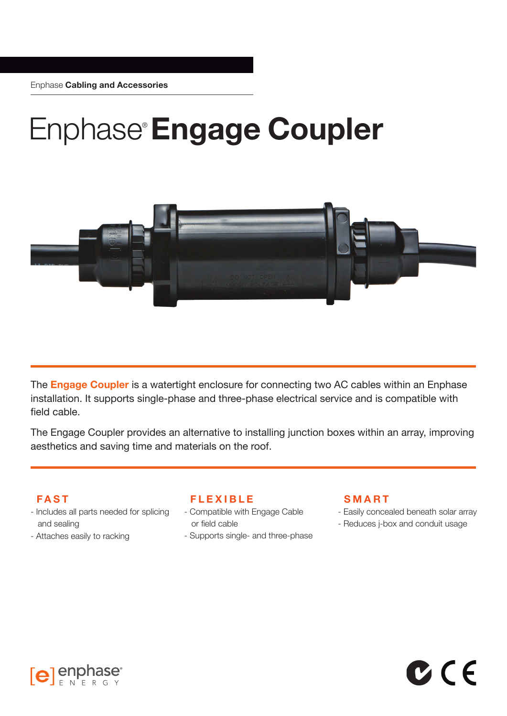# Enphase®**Engage Coupler**



The **Engage Coupler** is a watertight enclosure for connecting two AC cables within an Enphase installation. It supports single-phase and three-phase electrical service and is compatible with field cable.

The Engage Coupler provides an alternative to installing junction boxes within an array, improving aesthetics and saving time and materials on the roof.

# **FAST**

- Includes all parts needed for splicing and sealing
- Attaches easily to racking

# **FLEXIBLE**

- Compatible with Engage Cable or field cable
- Supports single- and three-phase

# **SMART**

- Easily concealed beneath solar array

 $C$  (  $\epsilon$ 

- Reduces j-box and conduit usage